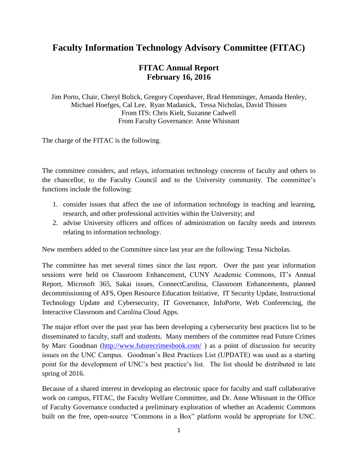## **Faculty Information Technology Advisory Committee (FITAC)**

## **FITAC Annual Report February 16, 2016**

Jim Porto, Chair, Cheryl Bolick, Gregory Copenhaver, Brad Hemminger, Amanda Henley, Michael Hoefges, Cal Lee, Ryan Madanick, Tessa Nicholas, David Thissen From ITS: Chris Kielt, Suzanne Cadwell From Faculty Governance: Anne Whisnant

The charge of the FITAC is the following.

The committee considers, and relays, information technology concerns of faculty and others to the chancellor, to the Faculty Council and to the University community. The committee's functions include the following:

- 1. consider issues that affect the use of information technology in teaching and learning, research, and other professional activities within the University; and
- 2. advise University officers and offices of administration on faculty needs and interests relating to information technology.

New members added to the Committee since last year are the following: Tessa Nicholas.

The committee has met several times since the last report. Over the past year information sessions were held on Classroom Enhancement, CUNY Academic Commons, IT's Annual Report, Microsoft 365, Sakai issues, ConnectCarolina, Classroom Enhancements, planned decommissioning of AFS, Open Resource Education Initiative, IT Security Update, Instructional Technology Update and Cybersecurity, IT Governance, InfoPorte, Web Conferencing, the Interactive Classroom and Carolina Cloud Apps.

The major effort over the past year has been developing a cybersecurity best practices list to be disseminated to faculty, staff and students. Many members of the committee read Future Crimes by Marc Goodman [\(http://www.futurecrimesbook.com/](http://www.futurecrimesbook.com/)) as a point of discussion for security issues on the UNC Campus. Goodman's Best Practices List (UPDATE) was used as a starting point for the development of UNC's best practice's list. The list should be distributed in late spring of 2016.

Because of a shared interest in developing an electronic space for faculty and staff collaborative work on campus, FITAC, the Faculty Welfare Committee, and Dr. Anne Whisnant in the Office of Faculty Governance conducted a preliminary exploration of whether an Academic Commons built on the free, open-source "Commons in a Box" platform would be appropriate for UNC.